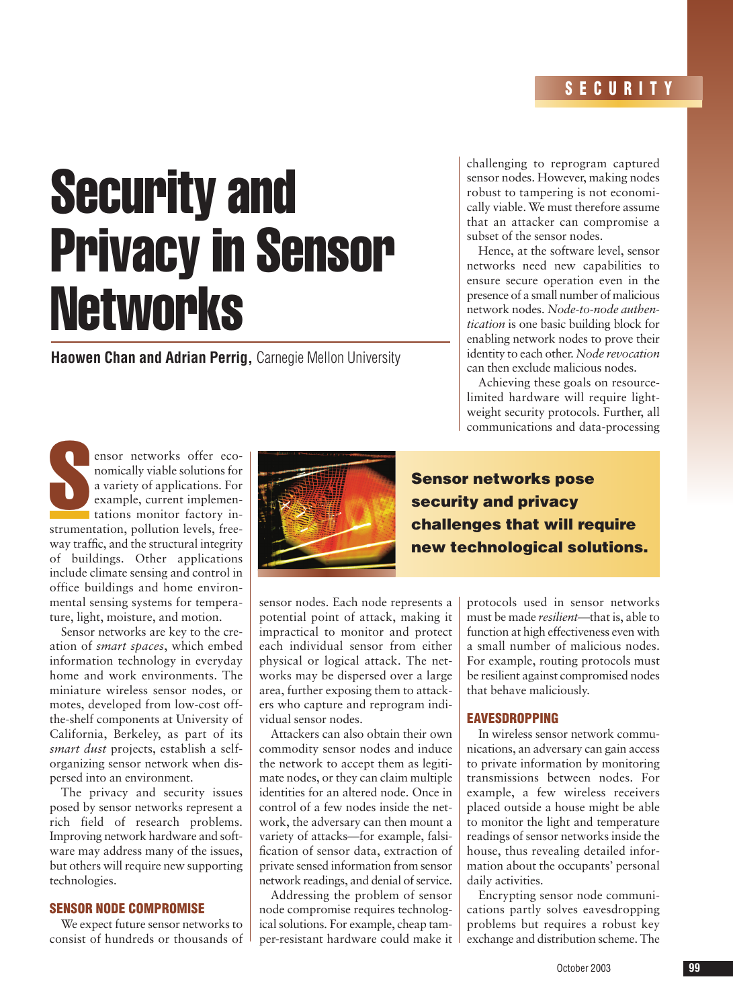## **SECURITY**

# Security and Privacy in Sensor **Networks**

**Haowen Chan and Adrian Perrig,** Carnegie Mellon University

challenging to reprogram captured sensor nodes. However, making nodes robust to tampering is not economically viable. We must therefore assume that an attacker can compromise a subset of the sensor nodes.

Hence, at the software level, sensor networks need new capabilities to ensure secure operation even in the presence of a small number of malicious network nodes. *Node-to-node authentication* is one basic building block for enabling network nodes to prove their identity to each other. *Node revocation* can then exclude malicious nodes.

Achieving these goals on resourcelimited hardware will require lightweight security protocols. Further, all communications and data-processing

S ensor networks offer economically viable solutions for a variety of applications. For example, current implementations monitor factory instrumentation, pollution levels, freeway traffic, and the structural integrity of buildings. Other applications include climate sensing and control in office buildings and home environmental sensing systems for temperature, light, moisture, and motion.

Sensor networks are key to the creation of *smart spaces*, which embed information technology in everyday home and work environments. The miniature wireless sensor nodes, or motes, developed from low-cost offthe-shelf components at University of California, Berkeley, as part of its *smart dust* projects, establish a selforganizing sensor network when dispersed into an environment.

The privacy and security issues posed by sensor networks represent a rich field of research problems. Improving network hardware and software may address many of the issues, but others will require new supporting technologies.

#### **SENSOR NODE COMPROMISE**

We expect future sensor networks to consist of hundreds or thousands of



# **Sensor networks pose security and privacy challenges that will require new technological solutions.**

sensor nodes. Each node represents a potential point of attack, making it impractical to monitor and protect each individual sensor from either physical or logical attack. The networks may be dispersed over a large area, further exposing them to attackers who capture and reprogram individual sensor nodes.

Attackers can also obtain their own commodity sensor nodes and induce the network to accept them as legitimate nodes, or they can claim multiple identities for an altered node. Once in control of a few nodes inside the network, the adversary can then mount a variety of attacks—for example, falsification of sensor data, extraction of private sensed information from sensor network readings, and denial of service.

Addressing the problem of sensor node compromise requires technological solutions. For example, cheap tamper-resistant hardware could make it protocols used in sensor networks must be made *resilient*—that is, able to function at high effectiveness even with a small number of malicious nodes. For example, routing protocols must be resilient against compromised nodes that behave maliciously.

## **EAVESDROPPING**

In wireless sensor network communications, an adversary can gain access to private information by monitoring transmissions between nodes. For example, a few wireless receivers placed outside a house might be able to monitor the light and temperature readings of sensor networks inside the house, thus revealing detailed information about the occupants' personal daily activities.

Encrypting sensor node communications partly solves eavesdropping problems but requires a robust key exchange and distribution scheme. The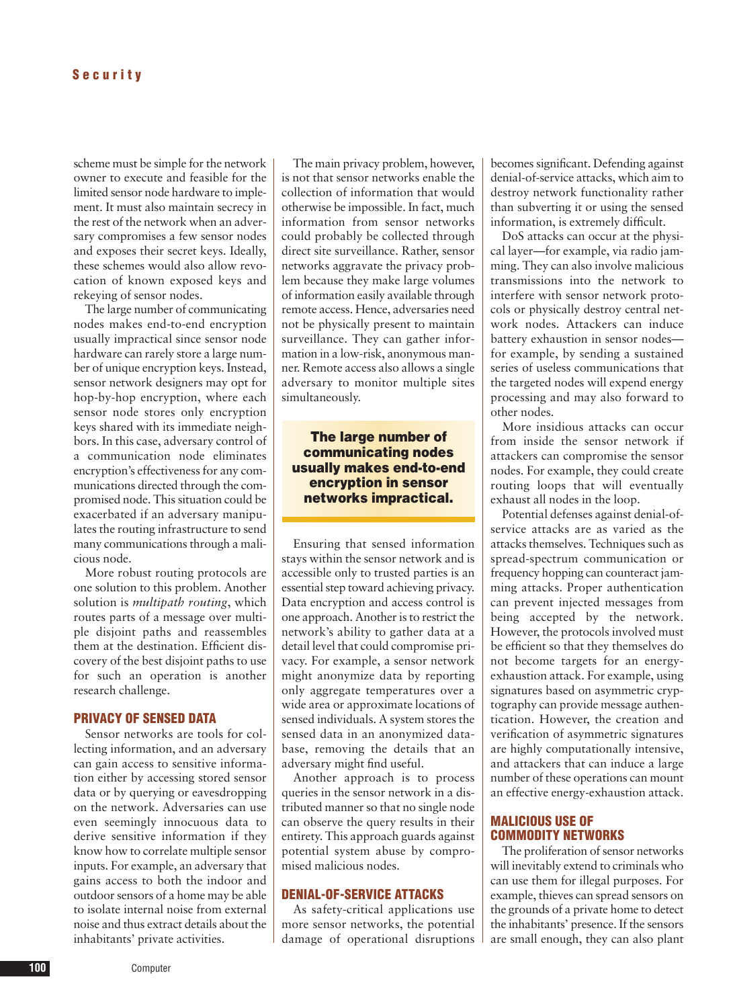scheme must be simple for the network owner to execute and feasible for the limited sensor node hardware to implement. It must also maintain secrecy in the rest of the network when an adversary compromises a few sensor nodes and exposes their secret keys. Ideally, these schemes would also allow revocation of known exposed keys and rekeying of sensor nodes.

The large number of communicating nodes makes end-to-end encryption usually impractical since sensor node hardware can rarely store a large number of unique encryption keys. Instead, sensor network designers may opt for hop-by-hop encryption, where each sensor node stores only encryption keys shared with its immediate neighbors. In this case, adversary control of a communication node eliminates encryption's effectiveness for any communications directed through the compromised node. This situation could be exacerbated if an adversary manipulates the routing infrastructure to send many communications through a malicious node.

More robust routing protocols are one solution to this problem. Another solution is *multipath routing*, which routes parts of a message over multiple disjoint paths and reassembles them at the destination. Efficient discovery of the best disjoint paths to use for such an operation is another research challenge.

#### **PRIVACY OF SENSED DATA**

Sensor networks are tools for collecting information, and an adversary can gain access to sensitive information either by accessing stored sensor data or by querying or eavesdropping on the network. Adversaries can use even seemingly innocuous data to derive sensitive information if they know how to correlate multiple sensor inputs. For example, an adversary that gains access to both the indoor and outdoor sensors of a home may be able to isolate internal noise from external noise and thus extract details about the inhabitants' private activities.

The main privacy problem, however, is not that sensor networks enable the collection of information that would otherwise be impossible. In fact, much information from sensor networks could probably be collected through direct site surveillance. Rather, sensor networks aggravate the privacy problem because they make large volumes of information easily available through remote access. Hence, adversaries need not be physically present to maintain surveillance. They can gather information in a low-risk, anonymous manner. Remote access also allows a single adversary to monitor multiple sites simultaneously.

#### **The large number of communicating nodes usually makes end-to-end encryption in sensor networks impractical.**

Ensuring that sensed information stays within the sensor network and is accessible only to trusted parties is an essential step toward achieving privacy. Data encryption and access control is one approach. Another is to restrict the network's ability to gather data at a detail level that could compromise privacy. For example, a sensor network might anonymize data by reporting only aggregate temperatures over a wide area or approximate locations of sensed individuals. A system stores the sensed data in an anonymized database, removing the details that an adversary might find useful.

Another approach is to process queries in the sensor network in a distributed manner so that no single node can observe the query results in their entirety. This approach guards against potential system abuse by compromised malicious nodes.

#### **DENIAL-OF-SERVICE ATTACKS**

As safety-critical applications use more sensor networks, the potential damage of operational disruptions

becomes significant. Defending against denial-of-service attacks, which aim to destroy network functionality rather than subverting it or using the sensed information, is extremely difficult.

DoS attacks can occur at the physical layer—for example, via radio jamming. They can also involve malicious transmissions into the network to interfere with sensor network protocols or physically destroy central network nodes. Attackers can induce battery exhaustion in sensor nodes for example, by sending a sustained series of useless communications that the targeted nodes will expend energy processing and may also forward to other nodes.

More insidious attacks can occur from inside the sensor network if attackers can compromise the sensor nodes. For example, they could create routing loops that will eventually exhaust all nodes in the loop.

Potential defenses against denial-ofservice attacks are as varied as the attacks themselves. Techniques such as spread-spectrum communication or frequency hopping can counteract jamming attacks. Proper authentication can prevent injected messages from being accepted by the network. However, the protocols involved must be efficient so that they themselves do not become targets for an energyexhaustion attack. For example, using signatures based on asymmetric cryptography can provide message authentication. However, the creation and verification of asymmetric signatures are highly computationally intensive, and attackers that can induce a large number of these operations can mount an effective energy-exhaustion attack.

### **MALICIOUS USE OF COMMODITY NETWORKS**

The proliferation of sensor networks will inevitably extend to criminals who can use them for illegal purposes. For example, thieves can spread sensors on the grounds of a private home to detect the inhabitants' presence. If the sensors are small enough, they can also plant